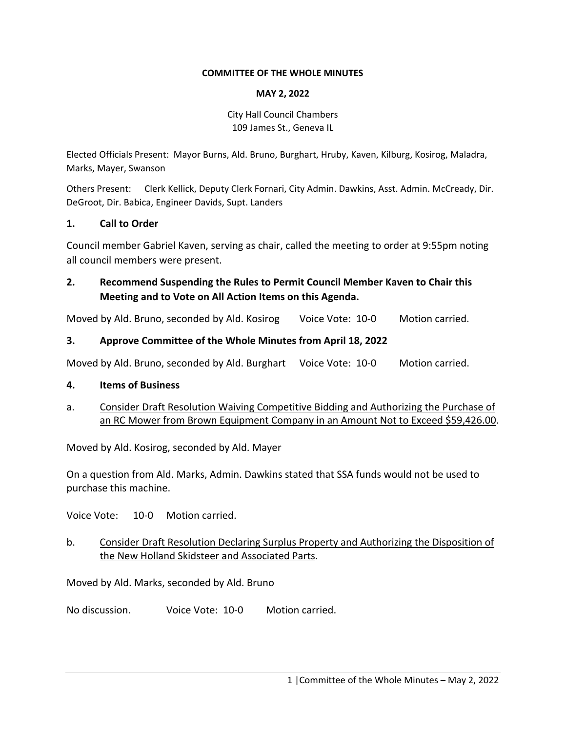#### **COMMITTEE OF THE WHOLE MINUTES**

#### **MAY 2, 2022**

City Hall Council Chambers 109 James St., Geneva IL

Elected Officials Present: Mayor Burns, Ald. Bruno, Burghart, Hruby, Kaven, Kilburg, Kosirog, Maladra, Marks, Mayer, Swanson

Others Present: Clerk Kellick, Deputy Clerk Fornari, City Admin. Dawkins, Asst. Admin. McCready, Dir. DeGroot, Dir. Babica, Engineer Davids, Supt. Landers

## **1. Call to Order**

Council member Gabriel Kaven, serving as chair, called the meeting to order at 9:55pm noting all council members were present.

# **2. Recommend Suspending the Rules to Permit Council Member Kaven to Chair this Meeting and to Vote on All Action Items on this Agenda.**

Moved by Ald. Bruno, seconded by Ald. Kosirog Voice Vote: 10-0 Motion carried.

# **3. Approve Committee of the Whole Minutes from April 18, 2022**

Moved by Ald. Bruno, seconded by Ald. Burghart Voice Vote: 10-0 Motion carried.

## **4. Items of Business**

a. Consider Draft Resolution Waiving Competitive Bidding and Authorizing the Purchase of an RC Mower from Brown Equipment Company in an Amount Not to Exceed \$59,426.00.

Moved by Ald. Kosirog, seconded by Ald. Mayer

On a question from Ald. Marks, Admin. Dawkins stated that SSA funds would not be used to purchase this machine.

Voice Vote: 10‐0 Motion carried.

# b. Consider Draft Resolution Declaring Surplus Property and Authorizing the Disposition of the New Holland Skidsteer and Associated Parts.

Moved by Ald. Marks, seconded by Ald. Bruno

No discussion. Voice Vote: 10‐0 Motion carried.